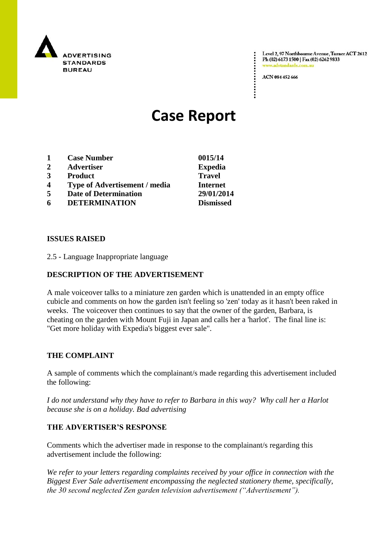

Level 2, 97 Northbourne Avenue, Turner ACT 2612 Ph (02) 6173 1500 | Fax (02) 6262 9833 v.adstandards.com.a

ACN 084 452 666

# **Case Report**

- **1 Case Number 0015/14**
- **2 Advertiser Expedia**
- **3 Product Travel**
- **4 Type of Advertisement / media Internet**
- **5 Date of Determination 29/01/2014**
- **6 DETERMINATION Dismissed**

### **ISSUES RAISED**

2.5 - Language Inappropriate language

## **DESCRIPTION OF THE ADVERTISEMENT**

A male voiceover talks to a miniature zen garden which is unattended in an empty office cubicle and comments on how the garden isn't feeling so 'zen' today as it hasn't been raked in weeks. The voiceover then continues to say that the owner of the garden, Barbara, is cheating on the garden with Mount Fuji in Japan and calls her a 'harlot'. The final line is: "Get more holiday with Expedia's biggest ever sale".

#### **THE COMPLAINT**

A sample of comments which the complainant/s made regarding this advertisement included the following:

*I do not understand why they have to refer to Barbara in this way? Why call her a Harlot because she is on a holiday. Bad advertising* 

## **THE ADVERTISER'S RESPONSE**

Comments which the advertiser made in response to the complainant/s regarding this advertisement include the following:

*We refer to your letters regarding complaints received by your office in connection with the Biggest Ever Sale advertisement encompassing the neglected stationery theme, specifically, the 30 second neglected Zen garden television advertisement ("Advertisement").*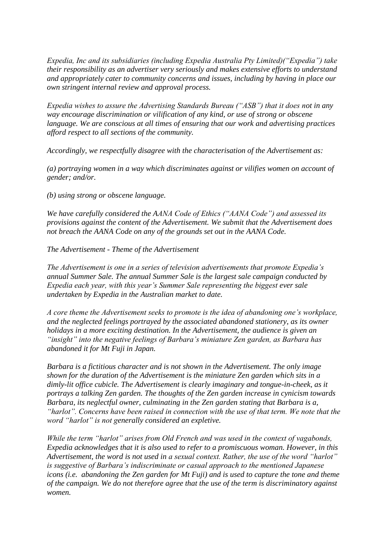*Expedia, Inc and its subsidiaries (including Expedia Australia Pty Limited)("Expedia") take their responsibility as an advertiser very seriously and makes extensive efforts to understand and appropriately cater to community concerns and issues, including by having in place our own stringent internal review and approval process.* 

*Expedia wishes to assure the Advertising Standards Bureau ("ASB") that it does not in any way encourage discrimination or vilification of any kind, or use of strong or obscene language. We are conscious at all times of ensuring that our work and advertising practices afford respect to all sections of the community.* 

*Accordingly, we respectfully disagree with the characterisation of the Advertisement as:* 

*(a) portraying women in a way which discriminates against or vilifies women on account of gender; and/or.* 

*(b) using strong or obscene language.* 

*We have carefully considered the AANA Code of Ethics ("AANA Code") and assessed its provisions against the content of the Advertisement. We submit that the Advertisement does not breach the AANA Code on any of the grounds set out in the AANA Code.* 

*The Advertisement - Theme of the Advertisement* 

*The Advertisement is one in a series of television advertisements that promote Expedia's annual Summer Sale. The annual Summer Sale is the largest sale campaign conducted by Expedia each year, with this year's Summer Sale representing the biggest ever sale undertaken by Expedia in the Australian market to date.* 

*A core theme the Advertisement seeks to promote is the idea of abandoning one's workplace, and the neglected feelings portrayed by the associated abandoned stationery, as its owner holidays in a more exciting destination. In the Advertisement, the audience is given an "insight" into the negative feelings of Barbara's miniature Zen garden, as Barbara has abandoned it for Mt Fuji in Japan.* 

*Barbara is a fictitious character and is not shown in the Advertisement. The only image shown for the duration of the Advertisement is the miniature Zen garden which sits in a dimly-lit office cubicle. The Advertisement is clearly imaginary and tongue-in-cheek, as it portrays a talking Zen garden. The thoughts of the Zen garden increase in cynicism towards Barbara, its neglectful owner, culminating in the Zen garden stating that Barbara is a, "harlot". Concerns have been raised in connection with the use of that term. We note that the word "harlot" is not generally considered an expletive.* 

*While the term "harlot" arises from Old French and was used in the context of vagabonds, Expedia acknowledges that it is also used to refer to a promiscuous woman. However, in this Advertisement, the word is not used in a sexual context. Rather, the use of the word "harlot" is suggestive of Barbara's indiscriminate or casual approach to the mentioned Japanese icons (i.e. abandoning the Zen garden for Mt Fuji) and is used to capture the tone and theme of the campaign. We do not therefore agree that the use of the term is discriminatory against women.*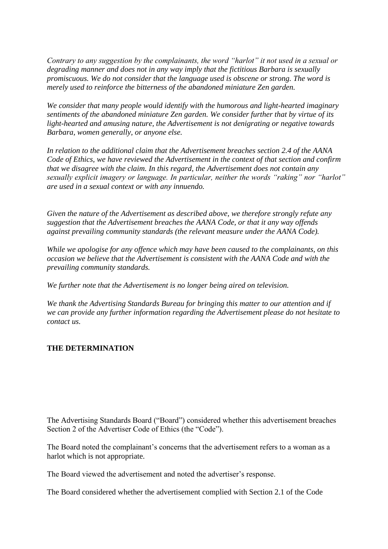*Contrary to any suggestion by the complainants, the word "harlot" it not used in a sexual or degrading manner and does not in any way imply that the fictitious Barbara is sexually promiscuous. We do not consider that the language used is obscene or strong. The word is merely used to reinforce the bitterness of the abandoned miniature Zen garden.* 

*We consider that many people would identify with the humorous and light-hearted imaginary sentiments of the abandoned miniature Zen garden. We consider further that by virtue of its light-hearted and amusing nature, the Advertisement is not denigrating or negative towards Barbara, women generally, or anyone else.* 

*In relation to the additional claim that the Advertisement breaches section 2.4 of the AANA Code of Ethics, we have reviewed the Advertisement in the context of that section and confirm that we disagree with the claim. In this regard, the Advertisement does not contain any sexually explicit imagery or language. In particular, neither the words "raking" nor "harlot" are used in a sexual context or with any innuendo.*

*Given the nature of the Advertisement as described above, we therefore strongly refute any suggestion that the Advertisement breaches the AANA Code, or that it any way offends against prevailing community standards (the relevant measure under the AANA Code).* 

*While we apologise for any offence which may have been caused to the complainants, on this occasion we believe that the Advertisement is consistent with the AANA Code and with the prevailing community standards.* 

*We further note that the Advertisement is no longer being aired on television.* 

*We thank the Advertising Standards Bureau for bringing this matter to our attention and if we can provide any further information regarding the Advertisement please do not hesitate to contact us.*

## **THE DETERMINATION**

The Advertising Standards Board ("Board") considered whether this advertisement breaches Section 2 of the Advertiser Code of Ethics (the "Code").

The Board noted the complainant's concerns that the advertisement refers to a woman as a harlot which is not appropriate.

The Board viewed the advertisement and noted the advertiser"s response.

The Board considered whether the advertisement complied with Section 2.1 of the Code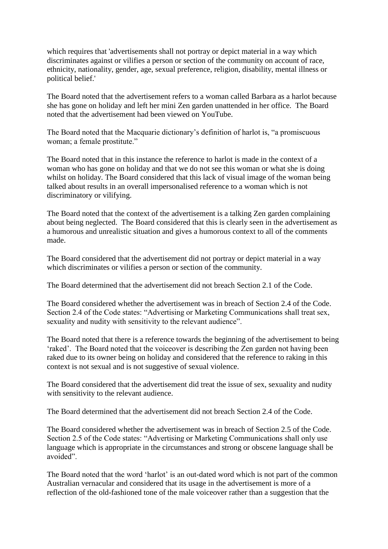which requires that 'advertisements shall not portray or depict material in a way which discriminates against or vilifies a person or section of the community on account of race, ethnicity, nationality, gender, age, sexual preference, religion, disability, mental illness or political belief.'

The Board noted that the advertisement refers to a woman called Barbara as a harlot because she has gone on holiday and left her mini Zen garden unattended in her office. The Board noted that the advertisement had been viewed on YouTube.

The Board noted that the Macquarie dictionary"s definition of harlot is, "a promiscuous woman; a female prostitute."

The Board noted that in this instance the reference to harlot is made in the context of a woman who has gone on holiday and that we do not see this woman or what she is doing whilst on holiday. The Board considered that this lack of visual image of the woman being talked about results in an overall impersonalised reference to a woman which is not discriminatory or vilifying.

The Board noted that the context of the advertisement is a talking Zen garden complaining about being neglected. The Board considered that this is clearly seen in the advertisement as a humorous and unrealistic situation and gives a humorous context to all of the comments made.

The Board considered that the advertisement did not portray or depict material in a way which discriminates or vilifies a person or section of the community.

The Board determined that the advertisement did not breach Section 2.1 of the Code.

The Board considered whether the advertisement was in breach of Section 2.4 of the Code. Section 2.4 of the Code states: "Advertising or Marketing Communications shall treat sex, sexuality and nudity with sensitivity to the relevant audience".

The Board noted that there is a reference towards the beginning of the advertisement to being 'raked'. The Board noted that the voiceover is describing the Zen garden not having been raked due to its owner being on holiday and considered that the reference to raking in this context is not sexual and is not suggestive of sexual violence.

The Board considered that the advertisement did treat the issue of sex, sexuality and nudity with sensitivity to the relevant audience.

The Board determined that the advertisement did not breach Section 2.4 of the Code.

The Board considered whether the advertisement was in breach of Section 2.5 of the Code. Section 2.5 of the Code states: "Advertising or Marketing Communications shall only use language which is appropriate in the circumstances and strong or obscene language shall be avoided".

The Board noted that the word 'harlot' is an out-dated word which is not part of the common Australian vernacular and considered that its usage in the advertisement is more of a reflection of the old-fashioned tone of the male voiceover rather than a suggestion that the